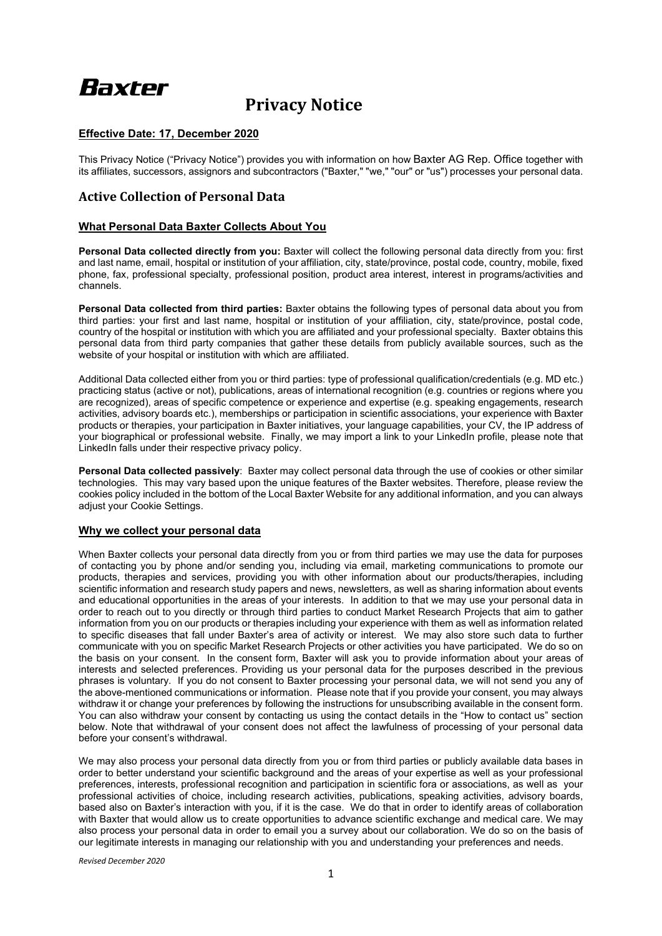# Baxter

# **Privacy Notice**

# **Effective Date: 17, December 2020**

This Privacy Notice ("Privacy Notice") provides you with information on how Baxter AG Rep. Office together with its affiliates, successors, assignors and subcontractors ("Baxter," "we," "our" or "us") processes your personal data.

# **Active Collection of Personal Data**

# **What Personal Data Baxter Collects About You**

**Personal Data collected directly from you:** Baxter will collect the following personal data directly from you: first and last name, email, hospital or institution of your affiliation, city, state/province, postal code, country, mobile, fixed phone, fax, professional specialty, professional position, product area interest, interest in programs/activities and channels.

**Personal Data collected from third parties:** Baxter obtains the following types of personal data about you from third parties: your first and last name, hospital or institution of your affiliation, city, state/province, postal code, country of the hospital or institution with which you are affiliated and your professional specialty. Baxter obtains this personal data from third party companies that gather these details from publicly available sources, such as the website of your hospital or institution with which are affiliated.

Additional Data collected either from you or third parties: type of professional qualification/credentials (e.g. MD etc.) practicing status (active or not), publications, areas of international recognition (e.g. countries or regions where you are recognized), areas of specific competence or experience and expertise (e.g. speaking engagements, research activities, advisory boards etc.), memberships or participation in scientific associations, your experience with Baxter products or therapies, your participation in Baxter initiatives, your language capabilities, your CV, the IP address of your biographical or professional website. Finally, we may import a link to your LinkedIn profile, please note that LinkedIn falls under their respective privacy policy.

**Personal Data collected passively**: Baxter may collect personal data through the use of cookies or other similar technologies. This may vary based upon the unique features of the Baxter websites. Therefore, please review the cookies policy included in the bottom of the Local Baxter Website for any additional information, and you can always adjust your Cookie Settings.

# **Why we collect your personal data**

When Baxter collects your personal data directly from you or from third parties we may use the data for purposes of contacting you by phone and/or sending you, including via email, marketing communications to promote our products, therapies and services, providing you with other information about our products/therapies, including scientific information and research study papers and news, newsletters, as well as sharing information about events and educational opportunities in the areas of your interests. In addition to that we may use your personal data in order to reach out to you directly or through third parties to conduct Market Research Projects that aim to gather information from you on our products or therapies including your experience with them as well as information related to specific diseases that fall under Baxter's area of activity or interest. We may also store such data to further communicate with you on specific Market Research Projects or other activities you have participated. We do so on the basis on your consent. In the consent form, Baxter will ask you to provide information about your areas of interests and selected preferences. Providing us your personal data for the purposes described in the previous phrases is voluntary. If you do not consent to Baxter processing your personal data, we will not send you any of the above-mentioned communications or information. Please note that if you provide your consent, you may always withdraw it or change your preferences by following the instructions for unsubscribing available in the consent form. You can also withdraw your consent by contacting us using the contact details in the "How to contact us" section below. Note that withdrawal of your consent does not affect the lawfulness of processing of your personal data before your consent's withdrawal.

We may also process your personal data directly from you or from third parties or publicly available data bases in order to better understand your scientific background and the areas of your expertise as well as your professional preferences, interests, professional recognition and participation in scientific fora or associations, as well as your professional activities of choice, including research activities, publications, speaking activities, advisory boards, based also on Baxter's interaction with you, if it is the case. We do that in order to identify areas of collaboration with Baxter that would allow us to create opportunities to advance scientific exchange and medical care. We may also process your personal data in order to email you a survey about our collaboration. We do so on the basis of our legitimate interests in managing our relationship with you and understanding your preferences and needs.

*Revised December 2020*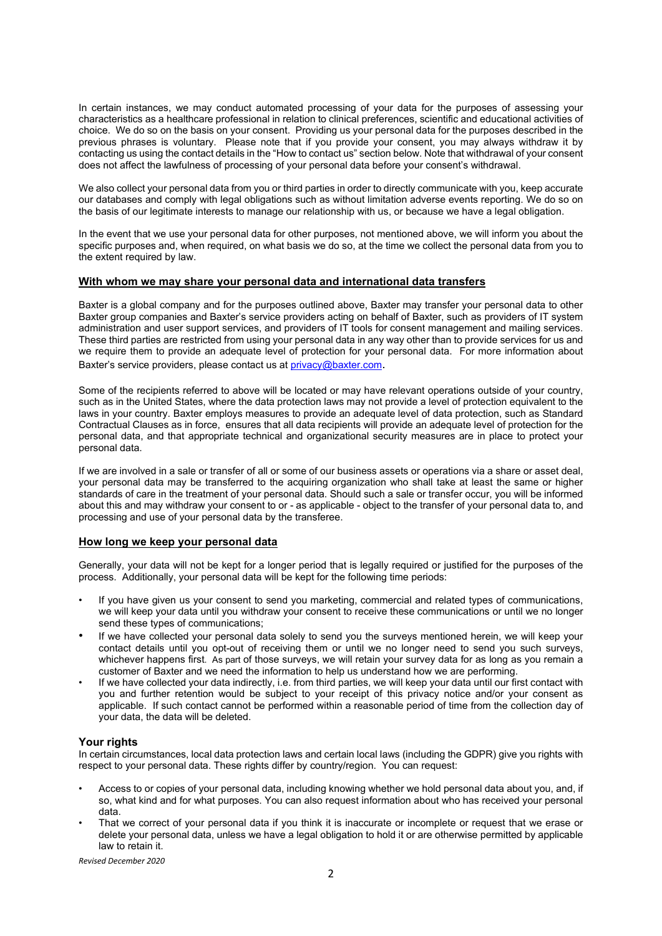In certain instances, we may conduct automated processing of your data for the purposes of assessing your characteristics as a healthcare professional in relation to clinical preferences, scientific and educational activities of choice. We do so on the basis on your consent. Providing us your personal data for the purposes described in the previous phrases is voluntary. Please note that if you provide your consent, you may always withdraw it by contacting us using the contact details in the "How to contact us" section below. Note that withdrawal of your consent does not affect the lawfulness of processing of your personal data before your consent's withdrawal.

We also collect your personal data from you or third parties in order to directly communicate with you, keep accurate our databases and comply with legal obligations such as without limitation adverse events reporting. We do so on the basis of our legitimate interests to manage our relationship with us, or because we have a legal obligation.

In the event that we use your personal data for other purposes, not mentioned above, we will inform you about the specific purposes and, when required, on what basis we do so, at the time we collect the personal data from you to the extent required by law.

#### **With whom we may share your personal data and international data transfers**

Baxter is a global company and for the purposes outlined above, Baxter may transfer your personal data to other Baxter group companies and Baxter's service providers acting on behalf of Baxter, such as providers of IT system administration and user support services, and providers of IT tools for consent management and mailing services. These third parties are restricted from using your personal data in any way other than to provide services for us and we require them to provide an adequate level of protection for your personal data. For more information about Baxter's service providers, please contact us at privacy@baxter.com.

Some of the recipients referred to above will be located or may have relevant operations outside of your country, such as in the United States, where the data protection laws may not provide a level of protection equivalent to the laws in your country. Baxter employs measures to provide an adequate level of data protection, such as Standard Contractual Clauses as in force, ensures that all data recipients will provide an adequate level of protection for the personal data, and that appropriate technical and organizational security measures are in place to protect your personal data.

If we are involved in a sale or transfer of all or some of our business assets or operations via a share or asset deal, your personal data may be transferred to the acquiring organization who shall take at least the same or higher standards of care in the treatment of your personal data. Should such a sale or transfer occur, you will be informed about this and may withdraw your consent to or - as applicable - object to the transfer of your personal data to, and processing and use of your personal data by the transferee.

# **How long we keep your personal data**

Generally, your data will not be kept for a longer period that is legally required or justified for the purposes of the process. Additionally, your personal data will be kept for the following time periods:

- If you have given us your consent to send you marketing, commercial and related types of communications, we will keep your data until you withdraw your consent to receive these communications or until we no longer send these types of communications;
- If we have collected your personal data solely to send you the surveys mentioned herein, we will keep your contact details until you opt-out of receiving them or until we no longer need to send you such surveys, whichever happens first. As part of those surveys, we will retain your survey data for as long as you remain a customer of Baxter and we need the information to help us understand how we are performing.
- If we have collected your data indirectly, i.e. from third parties, we will keep your data until our first contact with you and further retention would be subject to your receipt of this privacy notice and/or your consent as applicable. If such contact cannot be performed within a reasonable period of time from the collection day of your data, the data will be deleted.

#### **Your rights**

In certain circumstances, local data protection laws and certain local laws (including the GDPR) give you rights with respect to your personal data. These rights differ by country/region. You can request:

- Access to or copies of your personal data, including knowing whether we hold personal data about you, and, if so, what kind and for what purposes. You can also request information about who has received your personal data.
- That we correct of your personal data if you think it is inaccurate or incomplete or request that we erase or delete your personal data, unless we have a legal obligation to hold it or are otherwise permitted by applicable law to retain it.

*Revised December 2020*